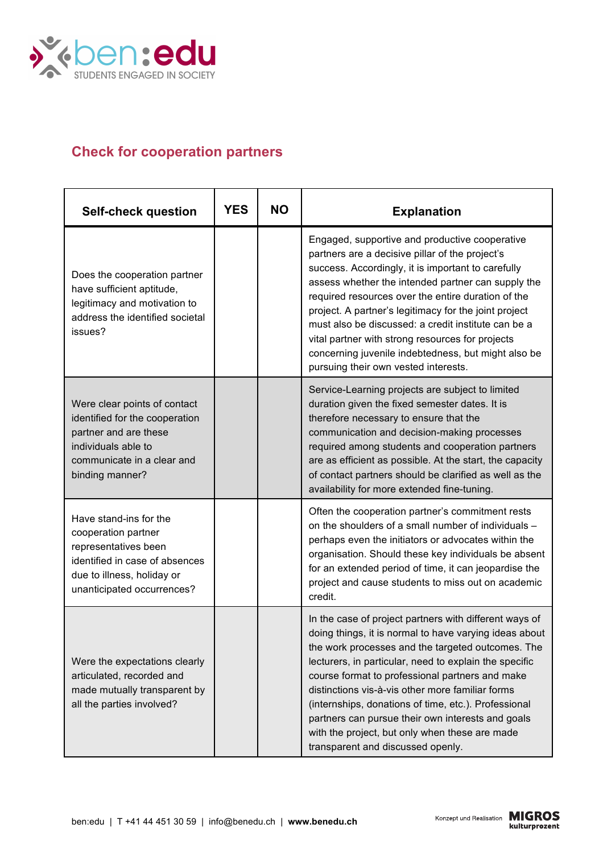

## **Check for cooperation partners**

| <b>Self-check question</b>                                                                                                                                          | <b>YES</b> | <b>NO</b> | <b>Explanation</b>                                                                                                                                                                                                                                                                                                                                                                                                                                                                                                                         |
|---------------------------------------------------------------------------------------------------------------------------------------------------------------------|------------|-----------|--------------------------------------------------------------------------------------------------------------------------------------------------------------------------------------------------------------------------------------------------------------------------------------------------------------------------------------------------------------------------------------------------------------------------------------------------------------------------------------------------------------------------------------------|
| Does the cooperation partner<br>have sufficient aptitude,<br>legitimacy and motivation to<br>address the identified societal<br>issues?                             |            |           | Engaged, supportive and productive cooperative<br>partners are a decisive pillar of the project's<br>success. Accordingly, it is important to carefully<br>assess whether the intended partner can supply the<br>required resources over the entire duration of the<br>project. A partner's legitimacy for the joint project<br>must also be discussed: a credit institute can be a<br>vital partner with strong resources for projects<br>concerning juvenile indebtedness, but might also be<br>pursuing their own vested interests.     |
| Were clear points of contact<br>identified for the cooperation<br>partner and are these<br>individuals able to<br>communicate in a clear and<br>binding manner?     |            |           | Service-Learning projects are subject to limited<br>duration given the fixed semester dates. It is<br>therefore necessary to ensure that the<br>communication and decision-making processes<br>required among students and cooperation partners<br>are as efficient as possible. At the start, the capacity<br>of contact partners should be clarified as well as the<br>availability for more extended fine-tuning.                                                                                                                       |
| Have stand-ins for the<br>cooperation partner<br>representatives been<br>identified in case of absences<br>due to illness, holiday or<br>unanticipated occurrences? |            |           | Often the cooperation partner's commitment rests<br>on the shoulders of a small number of individuals -<br>perhaps even the initiators or advocates within the<br>organisation. Should these key individuals be absent<br>for an extended period of time, it can jeopardise the<br>project and cause students to miss out on academic<br>credit.                                                                                                                                                                                           |
| Were the expectations clearly<br>articulated, recorded and<br>made mutually transparent by<br>all the parties involved?                                             |            |           | In the case of project partners with different ways of<br>doing things, it is normal to have varying ideas about<br>the work processes and the targeted outcomes. The<br>lecturers, in particular, need to explain the specific<br>course format to professional partners and make<br>distinctions vis-à-vis other more familiar forms<br>(internships, donations of time, etc.). Professional<br>partners can pursue their own interests and goals<br>with the project, but only when these are made<br>transparent and discussed openly. |